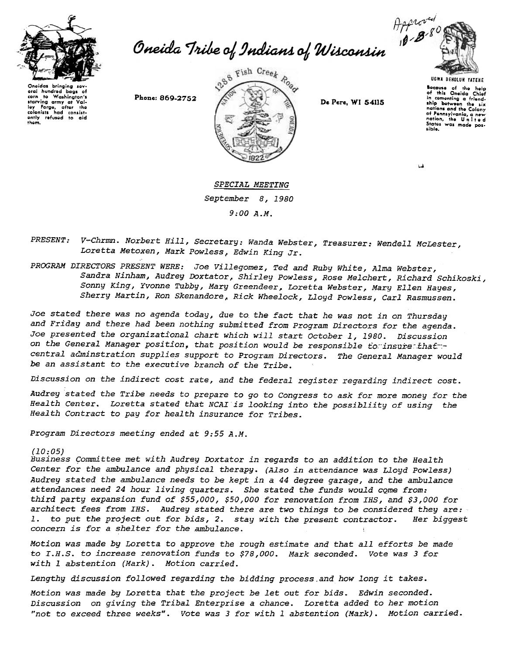

Approved<br>Oneida Tribe of Indians of Wisconsin

Oneidas brinaina eral hundred bags of Washington's corn  $10<sup>1</sup>$ starving army at Val-<br>ley Forge, after the<br>colonists had consist-<br>ently refused to aid them.

Phone: 869-2752



De Pere, WI 54115



Bocause of the help<br>of this Oneida Chief of this Oneida Chief ship between the six nations and the Colony nations and the cater,<br>of Pennsylvania, a new<br>nation, the United<br>States was made possible.

SPECIAL MEETING September 8, 1980  $9:00 A.M.$ 

V-Chrmn. Norbert Hill, Secretary: Wanda Webster, Treasurer: Wendell McLester, PRESENT: Loretta Metoxen, Mark Powless, Edwin King Jr.

PROGRAM DIRECTORS PRESENT WERE: Joe Villegomez, Ted and Ruby White, Alma Webster, Sandra Ninham, Audrey Doxtator, Shirley Powless, Rose Melchert, Richard Schikoski, Sonny King, Yvonne Tubby, Mary Greendeer, Loretta Webster, Mary Ellen Hayes, Sherry Martin, Ron Skenandore, Rick Wheelock, Lloyd Powless, Carl Rasmussen.

Joe stated there was no agenda today, due to the fact that he was not in on Thursday and Friday and there had been nothing submitted from Program Directors for the agenda. Joe presented the organizational chart which will start October 1, 1980. Discussion on the General Manager position, that position would be responsible to insure that central adminstration supplies support to Program Directors. The General Manager would be an assistant to the executive branch of the Tribe.

Discussion on the indirect cost rate, and the federal register regarding indirect cost.

Audrey stated the Tribe needs to prepare to go to Congress to ask for more money for the Health Center. Loretta stated that NCAI is looking into the possibliity of using the Health Contract to pay for health insurance for Tribes.

Program Directors meeting ended at 9:55 A.M.

## $(10:05)$

Business Committee met with Audrey Doxtator in regards to an addition to the Health Center for the ambulance and physical therapy. (Also in attendance was Lloud Powless) Audrey stated the ambulance needs to be kept in a 44 degree garage, and the ambulance attendances need 24 hour living quarters. She stated the funds would come from: third party expansion fund of \$55,000, \$50,000 for renovation from IHS, and \$3,000 for architect fees from IHS. Audrey stated there are two things to be considered they are: to put the project out for bids, 2. stay with the present contractor. Her biggest concern is for a shelter for the ambulance.

Motion was made by Loretta to approve the rough estimate and that all efforts be made to I.H.S. to increase renovation funds to \$78,000. Mark seconded. Vote was 3 for with 1 abstention (Mark). Motion carried.

Lengthy discussion followed regarding the bidding process and how long it takes.

Motion was made by Loretta that the project be let out for bids. Edwin seconded. Discussion on giving the Tribal Enterprise a chance. Loretta added to her motion "not to exceed three weeks". Vote was 3 for with 1 abstention (Mark). Motion carried.